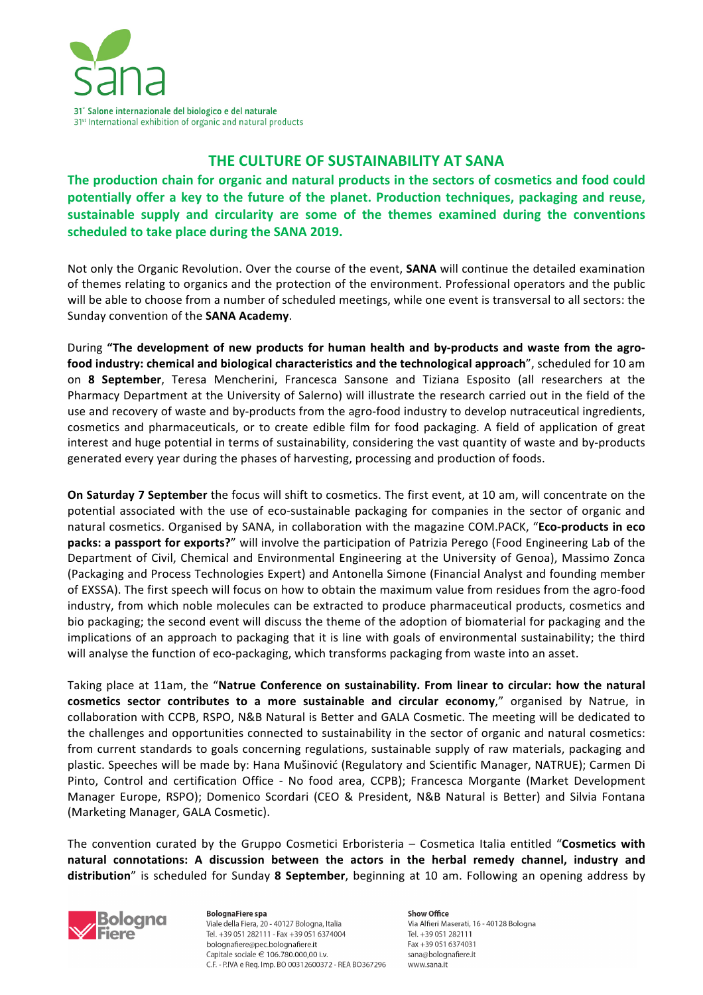

## **THE CULTURE OF SUSTAINABILITY AT SANA**

**The production chain for organic and natural products in the sectors of cosmetics and food could** potentially offer a key to the future of the planet. Production techniques, packaging and reuse, sustainable supply and circularity are some of the themes examined during the conventions **scheduled to take place during the SANA 2019.** 

Not only the Organic Revolution. Over the course of the event, **SANA** will continue the detailed examination of themes relating to organics and the protection of the environment. Professional operators and the public will be able to choose from a number of scheduled meetings, while one event is transversal to all sectors: the Sunday convention of the **SANA Academy**.

During "The development of new products for human health and by-products and waste from the agrofood industry: chemical and biological characteristics and the technological approach", scheduled for 10 am on **8 September**, Teresa Mencherini, Francesca Sansone and Tiziana Esposito (all researchers at the Pharmacy Department at the University of Salerno) will illustrate the research carried out in the field of the use and recovery of waste and by-products from the agro-food industry to develop nutraceutical ingredients, cosmetics and pharmaceuticals, or to create edible film for food packaging. A field of application of great interest and huge potential in terms of sustainability, considering the vast quantity of waste and by-products generated every year during the phases of harvesting, processing and production of foods.

**On Saturday 7 September** the focus will shift to cosmetics. The first event, at 10 am, will concentrate on the potential associated with the use of eco-sustainable packaging for companies in the sector of organic and natural cosmetics. Organised by SANA, in collaboration with the magazine COM.PACK, "**Eco-products in eco packs:** a passport for exports?" will involve the participation of Patrizia Perego (Food Engineering Lab of the Department of Civil, Chemical and Environmental Engineering at the University of Genoa), Massimo Zonca (Packaging and Process Technologies Expert) and Antonella Simone (Financial Analyst and founding member of EXSSA). The first speech will focus on how to obtain the maximum value from residues from the agro-food industry, from which noble molecules can be extracted to produce pharmaceutical products, cosmetics and bio packaging; the second event will discuss the theme of the adoption of biomaterial for packaging and the implications of an approach to packaging that it is line with goals of environmental sustainability; the third will analyse the function of eco-packaging, which transforms packaging from waste into an asset.

Taking place at 11am, the "Natrue Conference on sustainability. From linear to circular: how the natural **cosmetics sector contributes to a more sustainable and circular economy,"** organised by Natrue, in collaboration with CCPB, RSPO, N&B Natural is Better and GALA Cosmetic. The meeting will be dedicated to the challenges and opportunities connected to sustainability in the sector of organic and natural cosmetics: from current standards to goals concerning regulations, sustainable supply of raw materials, packaging and plastic. Speeches will be made by: Hana Mušinović (Regulatory and Scientific Manager, NATRUE); Carmen Di Pinto, Control and certification Office - No food area, CCPB); Francesca Morgante (Market Development Manager Europe, RSPO); Domenico Scordari (CEO & President, N&B Natural is Better) and Silvia Fontana (Marketing Manager, GALA Cosmetic).

The convention curated by the Gruppo Cosmetici Erboristeria – Cosmetica Italia entitled "Cosmetics with natural connotations: A discussion between the actors in the herbal remedy channel, industry and **distribution**" is scheduled for Sunday 8 September, beginning at 10 am. Following an opening address by



**BolognaFiere** spa Viale della Fiera. 20 - 40127 Bologna, Italia Tel. +39 051 282111 - Fax +39 051 6374004 bolognafiere@pec.bolognafiere.it Capitale sociale € 106.780.000,00 i.v. C.F. - P.IVA e Reg. Imp. BO 00312600372 - REA BO367296 **Show Office** Via Alfieri Maserati, 16 - 40128 Bologna Tel. +39 051 282111 Fax +39.051.6374031 sana@bolognafiere.it www.sana.it